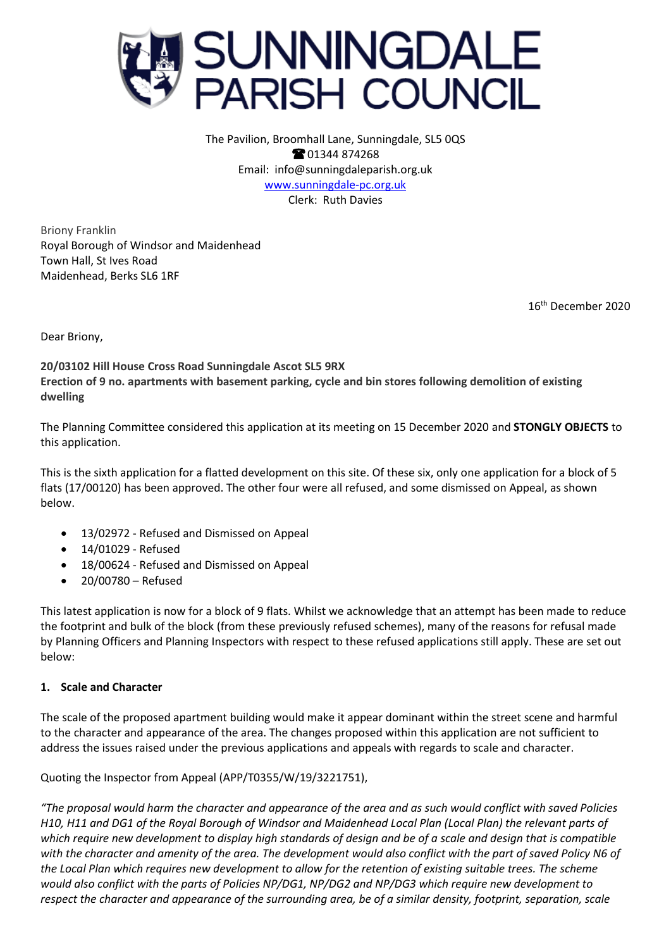

The Pavilion, Broomhall Lane, Sunningdale, SL5 0QS **@01344874268** Email: info@sunningdaleparish.org.uk [www.sunningdale-pc.org.uk](http://www.sunningdale-pc.org.uk/) Clerk: Ruth Davies

Briony Franklin Royal Borough of Windsor and Maidenhead Town Hall, St Ives Road Maidenhead, Berks SL6 1RF

16th December 2020

Dear Briony,

**20/03102 Hill House Cross Road Sunningdale Ascot SL5 9RX Erection of 9 no. apartments with basement parking, cycle and bin stores following demolition of existing dwelling**

The Planning Committee considered this application at its meeting on 15 December 2020 and **STONGLY OBJECTS** to this application.

This is the sixth application for a flatted development on this site. Of these six, only one application for a block of 5 flats (17/00120) has been approved. The other four were all refused, and some dismissed on Appeal, as shown below.

- 13/02972 Refused and Dismissed on Appeal
- 14/01029 Refused
- 18/00624 Refused and Dismissed on Appeal
- 20/00780 Refused

This latest application is now for a block of 9 flats. Whilst we acknowledge that an attempt has been made to reduce the footprint and bulk of the block (from these previously refused schemes), many of the reasons for refusal made by Planning Officers and Planning Inspectors with respect to these refused applications still apply. These are set out below:

## **1. Scale and Character**

The scale of the proposed apartment building would make it appear dominant within the street scene and harmful to the character and appearance of the area. The changes proposed within this application are not sufficient to address the issues raised under the previous applications and appeals with regards to scale and character.

Quoting the Inspector from Appeal (APP/T0355/W/19/3221751),

*"The proposal would harm the character and appearance of the area and as such would conflict with saved Policies H10, H11 and DG1 of the Royal Borough of Windsor and Maidenhead Local Plan (Local Plan) the relevant parts of which require new development to display high standards of design and be of a scale and design that is compatible with the character and amenity of the area. The development would also conflict with the part of saved Policy N6 of the Local Plan which requires new development to allow for the retention of existing suitable trees. The scheme would also conflict with the parts of Policies NP/DG1, NP/DG2 and NP/DG3 which require new development to respect the character and appearance of the surrounding area, be of a similar density, footprint, separation, scale*